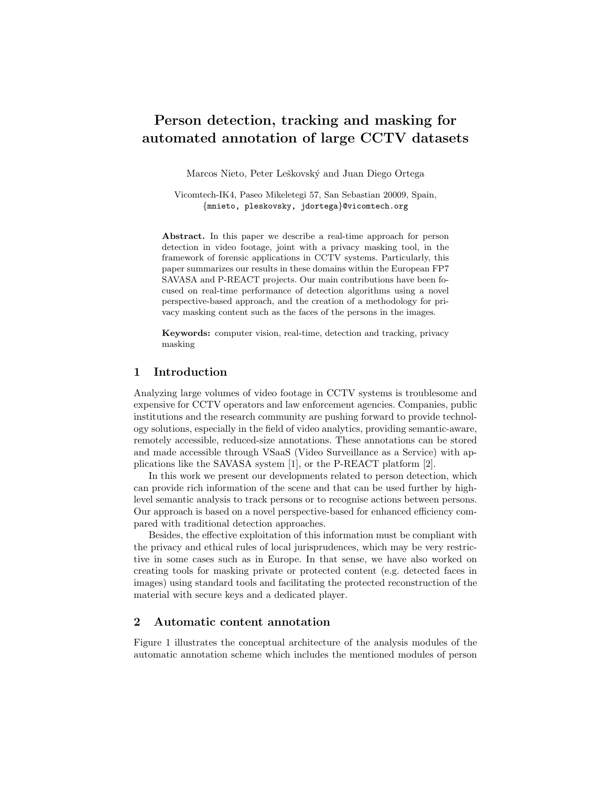# Person detection, tracking and masking for automated annotation of large CCTV datasets

Marcos Nieto, Peter Leškovský and Juan Diego Ortega

Vicomtech-IK4, Paseo Mikeletegi 57, San Sebastian 20009, Spain, {mnieto, pleskovsky, jdortega}@vicomtech.org

Abstract. In this paper we describe a real-time approach for person detection in video footage, joint with a privacy masking tool, in the framework of forensic applications in CCTV systems. Particularly, this paper summarizes our results in these domains within the European FP7 SAVASA and P-REACT projects. Our main contributions have been focused on real-time performance of detection algorithms using a novel perspective-based approach, and the creation of a methodology for privacy masking content such as the faces of the persons in the images.

Keywords: computer vision, real-time, detection and tracking, privacy masking

#### 1 Introduction

Analyzing large volumes of video footage in CCTV systems is troublesome and expensive for CCTV operators and law enforcement agencies. Companies, public institutions and the research community are pushing forward to provide technology solutions, especially in the field of video analytics, providing semantic-aware, remotely accessible, reduced-size annotations. These annotations can be stored and made accessible through VSaaS (Video Surveillance as a Service) with applications like the SAVASA system [1], or the P-REACT platform [2].

In this work we present our developments related to person detection, which can provide rich information of the scene and that can be used further by highlevel semantic analysis to track persons or to recognise actions between persons. Our approach is based on a novel perspective-based for enhanced efficiency compared with traditional detection approaches.

Besides, the effective exploitation of this information must be compliant with the privacy and ethical rules of local jurisprudences, which may be very restrictive in some cases such as in Europe. In that sense, we have also worked on creating tools for masking private or protected content (e.g. detected faces in images) using standard tools and facilitating the protected reconstruction of the material with secure keys and a dedicated player.

### 2 Automatic content annotation

Figure 1 illustrates the conceptual architecture of the analysis modules of the automatic annotation scheme which includes the mentioned modules of person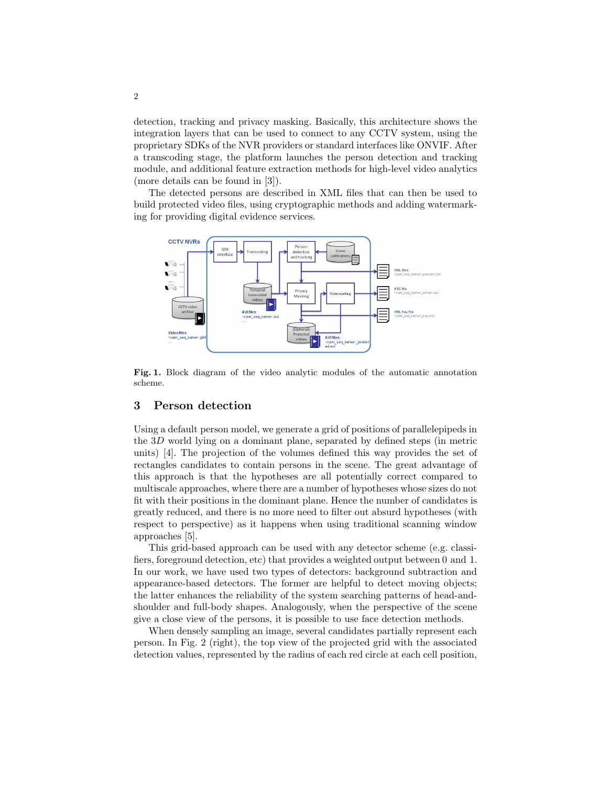detection, tracking and privacy masking. Basically, this architecture shows the integration layers that can be used to connect to any CCTV system, using the proprietary SDKs of the NVR providers or standard interfaces like ONVIF. After a transcoding stage, the platform launches the person detection and tracking module, and additional feature extraction methods for high-level video analytics (more details can be found in [3]).

The detected persons are described in XML files that can then be used to build protected video files, using cryptographic methods and adding watermarking for providing digital evidence services.



Fig. 1. Block diagram of the video analytic modules of the automatic annotation scheme.

#### 3 Person detection

Using a default person model, we generate a grid of positions of parallelepipeds in the 3D world lying on a dominant plane, separated by defined steps (in metric units) [4]. The projection of the volumes defined this way provides the set of rectangles candidates to contain persons in the scene. The great advantage of this approach is that the hypotheses are all potentially correct compared to multiscale approaches, where there are a number of hypotheses whose sizes do not fit with their positions in the dominant plane. Hence the number of candidates is greatly reduced, and there is no more need to filter out absurd hypotheses (with respect to perspective) as it happens when using traditional scanning window approaches [5].

This grid-based approach can be used with any detector scheme (e.g. classifiers, foreground detection, etc) that provides a weighted output between 0 and 1. In our work, we have used two types of detectors: background subtraction and appearance-based detectors. The former are helpful to detect moving objects; the latter enhances the reliability of the system searching patterns of head-andshoulder and full-body shapes. Analogously, when the perspective of the scene give a close view of the persons, it is possible to use face detection methods.

When densely sampling an image, several candidates partially represent each person. In Fig. 2 (right), the top view of the projected grid with the associated detection values, represented by the radius of each red circle at each cell position,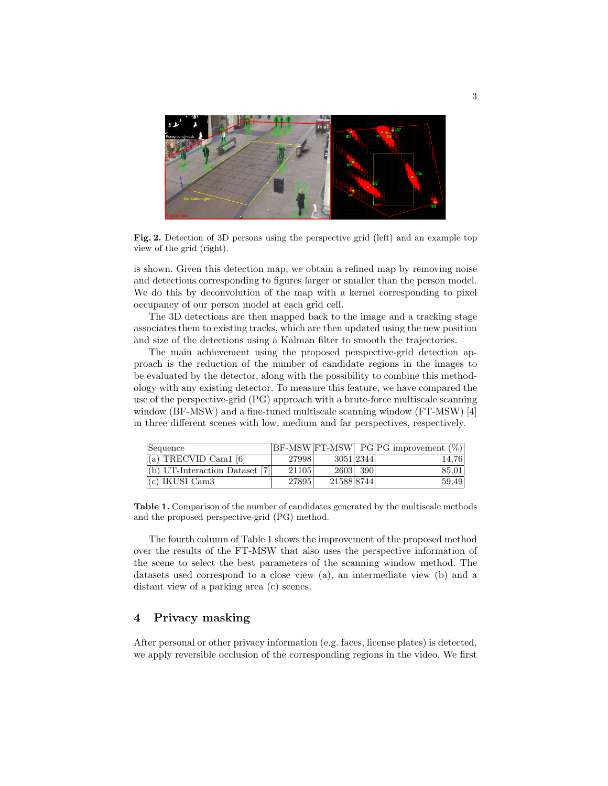

Fig. 2. Detection of 3D persons using the perspective grid (left) and an example top view of the grid (right).

is shown. Given this detection map, we obtain a refined map by removing noise and detections corresponding to figures larger or smaller than the person model. We do this by deconvolution of the map with a kernel corresponding to pixel occupancy of our person model at each grid cell.

The 3D detections are then mapped back to the image and a tracking stage associates them to existing tracks, which are then updated using the new position and size of the detections using a Kalman filter to smooth the trajectories.

The main achievement using the proposed perspective-grid detection approach is the reduction of the number of candidate regions in the images to be evaluated by the detector, along with the possibility to combine this methodology with any existing detector. To measure this feature, we have compared the use of the perspective-grid (PG) approach with a brute-force multiscale scanning window (BF-MSW) and a fine-tuned multiscale scanning window (FT-MSW) [4] in three different scenes with low, medium and far perspectives, respectively.

| Sequence                               |       |            | BF-MSW FT-MSW PG PG improvement (%) |
|----------------------------------------|-------|------------|-------------------------------------|
| $(a)$ TRECVID Cam1 [6]                 | 27998 | 3051 2344  | 14.76                               |
| $\vert$ (b) UT-Interaction Dataset [7] | 21105 | 2603 390   | 85,01                               |
| $\vert$ (c) IKUSI Cam3                 | 27895 | 21588 8744 | 59.49                               |

Table 1. Comparison of the number of candidates generated by the multiscale methods and the proposed perspective-grid (PG) method.

The fourth column of Table 1 shows the improvement of the proposed method over the results of the FT-MSW that also uses the perspective information of the scene to select the best parameters of the scanning window method. The datasets used correspond to a close view (a), an intermediate view (b) and a distant view of a parking area (c) scenes.

#### 4 Privacy masking

After personal or other privacy information (e.g. faces, license plates) is detected, we apply reversible occlusion of the corresponding regions in the video. We first